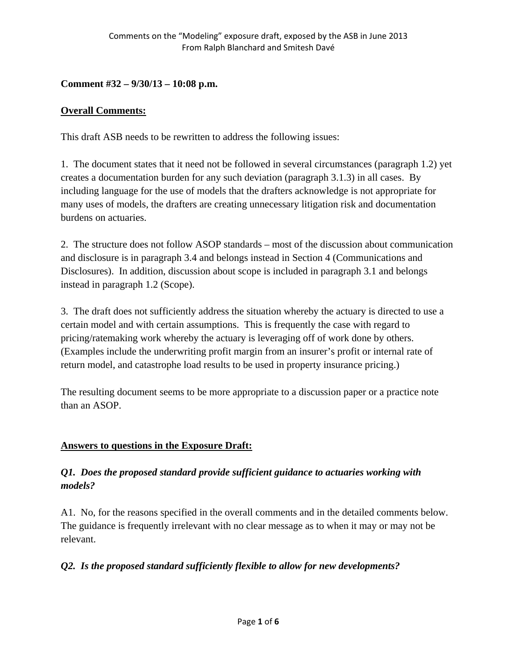### **Comment #32 – 9/30/13 – 10:08 p.m.**

### **Overall Comments:**

This draft ASB needs to be rewritten to address the following issues:

1. The document states that it need not be followed in several circumstances (paragraph 1.2) yet creates a documentation burden for any such deviation (paragraph 3.1.3) in all cases. By including language for the use of models that the drafters acknowledge is not appropriate for many uses of models, the drafters are creating unnecessary litigation risk and documentation burdens on actuaries.

2. The structure does not follow ASOP standards – most of the discussion about communication and disclosure is in paragraph 3.4 and belongs instead in Section 4 (Communications and Disclosures). In addition, discussion about scope is included in paragraph 3.1 and belongs instead in paragraph 1.2 (Scope).

3. The draft does not sufficiently address the situation whereby the actuary is directed to use a certain model and with certain assumptions. This is frequently the case with regard to pricing/ratemaking work whereby the actuary is leveraging off of work done by others. (Examples include the underwriting profit margin from an insurer's profit or internal rate of return model, and catastrophe load results to be used in property insurance pricing.)

The resulting document seems to be more appropriate to a discussion paper or a practice note than an ASOP.

# **Answers to questions in the Exposure Draft:**

### *Q1. Does the proposed standard provide sufficient guidance to actuaries working with models?*

A1. No, for the reasons specified in the overall comments and in the detailed comments below. The guidance is frequently irrelevant with no clear message as to when it may or may not be relevant.

# *Q2. Is the proposed standard sufficiently flexible to allow for new developments?*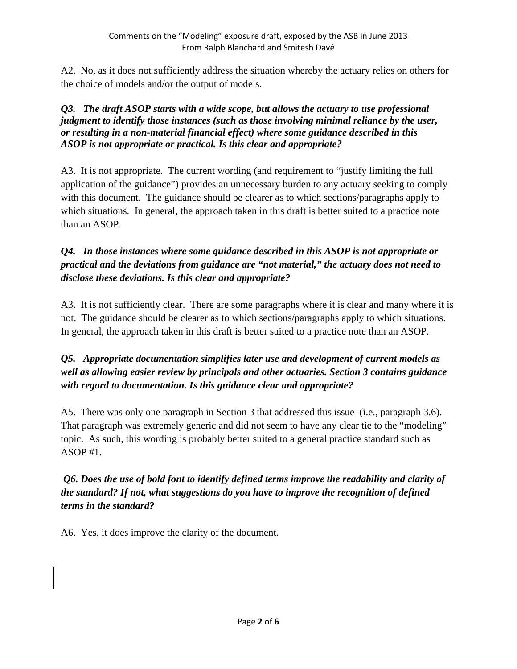A2. No, as it does not sufficiently address the situation whereby the actuary relies on others for the choice of models and/or the output of models.

#### *Q3. The draft ASOP starts with a wide scope, but allows the actuary to use professional judgment to identify those instances (such as those involving minimal reliance by the user, or resulting in a non-material financial effect) where some guidance described in this ASOP is not appropriate or practical. Is this clear and appropriate?*

A3. It is not appropriate. The current wording (and requirement to "justify limiting the full application of the guidance") provides an unnecessary burden to any actuary seeking to comply with this document. The guidance should be clearer as to which sections/paragraphs apply to which situations. In general, the approach taken in this draft is better suited to a practice note than an ASOP.

# *Q4. In those instances where some guidance described in this ASOP is not appropriate or practical and the deviations from guidance are "not material," the actuary does not need to disclose these deviations. Is this clear and appropriate?*

A3. It is not sufficiently clear. There are some paragraphs where it is clear and many where it is not. The guidance should be clearer as to which sections/paragraphs apply to which situations. In general, the approach taken in this draft is better suited to a practice note than an ASOP.

# *Q5. Appropriate documentation simplifies later use and development of current models as well as allowing easier review by principals and other actuaries. Section 3 contains guidance with regard to documentation. Is this guidance clear and appropriate?*

A5. There was only one paragraph in Section 3 that addressed this issue (i.e., paragraph 3.6). That paragraph was extremely generic and did not seem to have any clear tie to the "modeling" topic. As such, this wording is probably better suited to a general practice standard such as ASOP #1.

# *Q6. Does the use of bold font to identify defined terms improve the readability and clarity of the standard? If not, what suggestions do you have to improve the recognition of defined terms in the standard?*

A6. Yes, it does improve the clarity of the document.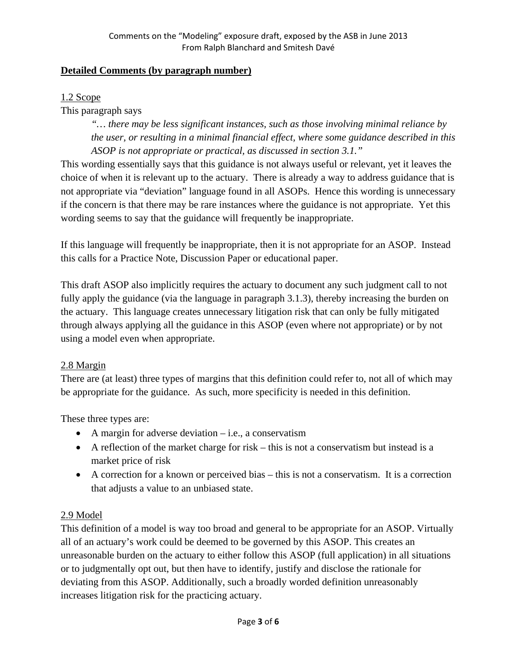#### **Detailed Comments (by paragraph number)**

#### 1.2 Scope

This paragraph says

*"… there may be less significant instances, such as those involving minimal reliance by the user, or resulting in a minimal financial effect, where some guidance described in this ASOP is not appropriate or practical, as discussed in section 3.1."* 

This wording essentially says that this guidance is not always useful or relevant, yet it leaves the choice of when it is relevant up to the actuary. There is already a way to address guidance that is not appropriate via "deviation" language found in all ASOPs. Hence this wording is unnecessary if the concern is that there may be rare instances where the guidance is not appropriate. Yet this wording seems to say that the guidance will frequently be inappropriate.

If this language will frequently be inappropriate, then it is not appropriate for an ASOP. Instead this calls for a Practice Note, Discussion Paper or educational paper.

This draft ASOP also implicitly requires the actuary to document any such judgment call to not fully apply the guidance (via the language in paragraph 3.1.3), thereby increasing the burden on the actuary. This language creates unnecessary litigation risk that can only be fully mitigated through always applying all the guidance in this ASOP (even where not appropriate) or by not using a model even when appropriate.

#### 2.8 Margin

There are (at least) three types of margins that this definition could refer to, not all of which may be appropriate for the guidance. As such, more specificity is needed in this definition.

These three types are:

- $\bullet$  A margin for adverse deviation i.e., a conservatism
- $\bullet$  A reflection of the market charge for risk this is not a conservatism but instead is a market price of risk
- A correction for a known or perceived bias this is not a conservatism. It is a correction that adjusts a value to an unbiased state.

### 2.9 Model

This definition of a model is way too broad and general to be appropriate for an ASOP. Virtually all of an actuary's work could be deemed to be governed by this ASOP. This creates an unreasonable burden on the actuary to either follow this ASOP (full application) in all situations or to judgmentally opt out, but then have to identify, justify and disclose the rationale for deviating from this ASOP. Additionally, such a broadly worded definition unreasonably increases litigation risk for the practicing actuary.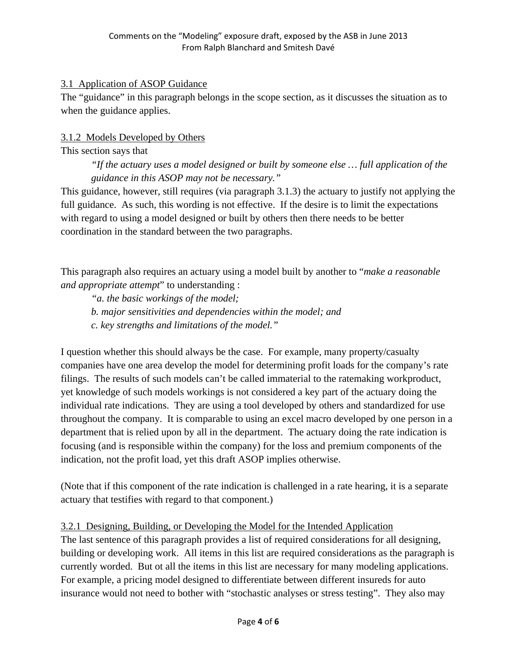### 3.1 Application of ASOP Guidance

The "guidance" in this paragraph belongs in the scope section, as it discusses the situation as to when the guidance applies.

# 3.1.2 Models Developed by Others

#### This section says that *"If the actuary uses a model designed or built by someone else … full application of the guidance in this ASOP may not be necessary."*

This guidance, however, still requires (via paragraph 3.1.3) the actuary to justify not applying the full guidance. As such, this wording is not effective. If the desire is to limit the expectations with regard to using a model designed or built by others then there needs to be better coordination in the standard between the two paragraphs.

This paragraph also requires an actuary using a model built by another to "*make a reasonable and appropriate attempt*" to understanding :

*"a. the basic workings of the model; b. major sensitivities and dependencies within the model; and c. key strengths and limitations of the model."* 

I question whether this should always be the case. For example, many property/casualty companies have one area develop the model for determining profit loads for the company's rate filings. The results of such models can't be called immaterial to the ratemaking workproduct, yet knowledge of such models workings is not considered a key part of the actuary doing the individual rate indications. They are using a tool developed by others and standardized for use throughout the company. It is comparable to using an excel macro developed by one person in a department that is relied upon by all in the department. The actuary doing the rate indication is focusing (and is responsible within the company) for the loss and premium components of the indication, not the profit load, yet this draft ASOP implies otherwise.

(Note that if this component of the rate indication is challenged in a rate hearing, it is a separate actuary that testifies with regard to that component.)

### 3.2.1 Designing, Building, or Developing the Model for the Intended Application

The last sentence of this paragraph provides a list of required considerations for all designing, building or developing work. All items in this list are required considerations as the paragraph is currently worded. But ot all the items in this list are necessary for many modeling applications. For example, a pricing model designed to differentiate between different insureds for auto insurance would not need to bother with "stochastic analyses or stress testing". They also may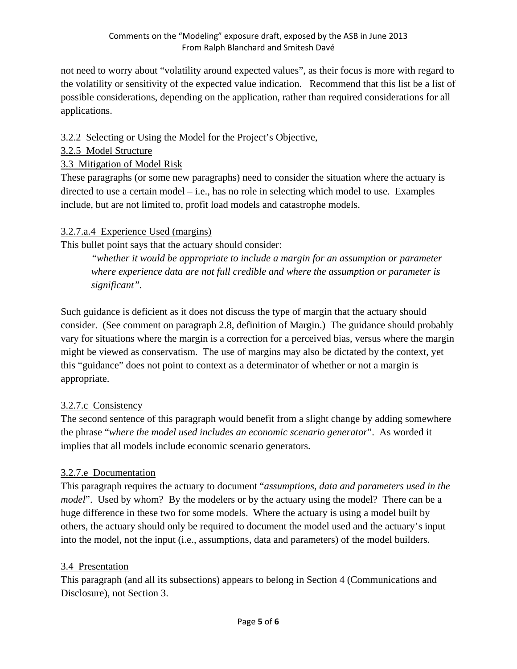not need to worry about "volatility around expected values", as their focus is more with regard to the volatility or sensitivity of the expected value indication. Recommend that this list be a list of possible considerations, depending on the application, rather than required considerations for all applications.

# 3.2.2 Selecting or Using the Model for the Project's Objective,

#### 3.2.5 Model Structure

### 3.3 Mitigation of Model Risk

These paragraphs (or some new paragraphs) need to consider the situation where the actuary is directed to use a certain model – i.e., has no role in selecting which model to use. Examples include, but are not limited to, profit load models and catastrophe models.

### 3.2.7.a.4 Experience Used (margins)

This bullet point says that the actuary should consider:

*"whether it would be appropriate to include a margin for an assumption or parameter where experience data are not full credible and where the assumption or parameter is significant".* 

Such guidance is deficient as it does not discuss the type of margin that the actuary should consider. (See comment on paragraph 2.8, definition of Margin.) The guidance should probably vary for situations where the margin is a correction for a perceived bias, versus where the margin might be viewed as conservatism. The use of margins may also be dictated by the context, yet this "guidance" does not point to context as a determinator of whether or not a margin is appropriate.

### 3.2.7.c Consistency

The second sentence of this paragraph would benefit from a slight change by adding somewhere the phrase "*where the model used includes an economic scenario generator*". As worded it implies that all models include economic scenario generators.

# 3.2.7.e Documentation

This paragraph requires the actuary to document "*assumptions, data and parameters used in the model*". Used by whom? By the modelers or by the actuary using the model? There can be a huge difference in these two for some models. Where the actuary is using a model built by others, the actuary should only be required to document the model used and the actuary's input into the model, not the input (i.e., assumptions, data and parameters) of the model builders.

### 3.4 Presentation

This paragraph (and all its subsections) appears to belong in Section 4 (Communications and Disclosure), not Section 3.